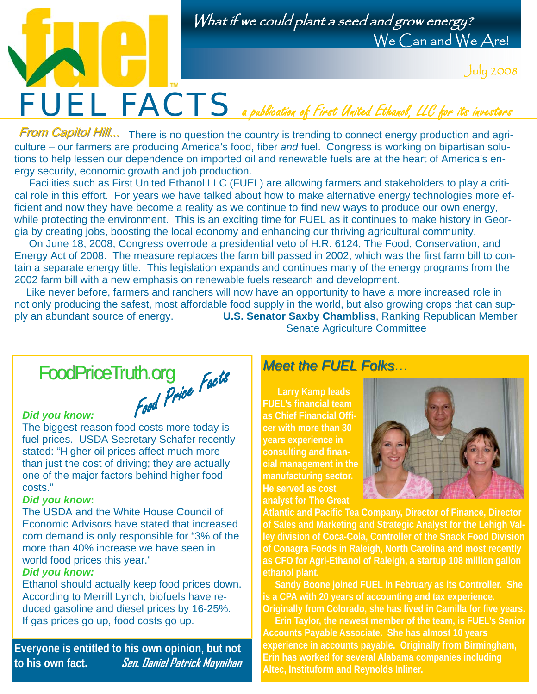

What if we could plant a seed and grow energy? We Can and We Are!

July 2008

From Capitol Hill... There is no question the country is trending to connect energy production and agriculture – our farmers are producing America's food, fiber *and* fuel. Congress is working on bipartisan solutions to help lessen our dependence on imported oil and renewable fuels are at the heart of America's energy security, economic growth and job production.

 Facilities such as First United Ethanol LLC (FUEL) are allowing farmers and stakeholders to play a critical role in this effort. For years we have talked about how to make alternative energy technologies more efficient and now they have become a reality as we continue to find new ways to produce our own energy, while protecting the environment. This is an exciting time for FUEL as it continues to make history in Georgia by creating jobs, boosting the local economy and enhancing our thriving agricultural community.

 On June 18, 2008, Congress overrode a presidential veto of H.R. 6124, The Food, Conservation, and Energy Act of 2008. The measure replaces the farm bill passed in 2002, which was the first farm bill to contain a separate energy title. This legislation expands and continues many of the energy programs from the 2002 farm bill with a new emphasis on renewable fuels research and development.

 Like never before, farmers and ranchers will now have an opportunity to have a more increased role in not only producing the safest, most affordable food supply in the world, but also growing crops that can supply an abundant source of energy. **U.S. Senator Saxby Chambliss**, Ranking Republican Member Senate Agriculture Committee

## In.org<br>Food Price Facts FoodPriceTruth.org

### *Did you know:*

The biggest reason food costs more today is fuel prices. USDA Secretary Schafer recently stated: "Higher oil prices affect much more than just the cost of driving; they are actually one of the major factors behind higher food costs."

#### *Did you know***:**

The USDA and the White House Council of Economic Advisors have stated that increased corn demand is only responsible for "3% of the more than 40% increase we have seen in world food prices this year."

#### *Did you know:*

Ethanol should actually keep food prices down. According to Merrill Lynch, biofuels have reduced gasoline and diesel prices by 16-25%. If gas prices go up, food costs go up.

**Everyone is entitled to his own opinion, but not to his own fact. Sen. Daniel Patrick Moynihan**

## *Meet the FUEL Folks… Meet the FUEL Folks*

 **Larry Kamp leads FUEL's financial team as Chief Financial Officer with more than 30 years experience in consulting and financial management in the manufacturing sector. He served as cost analyst for The Great** 



**Atlantic and Pacific Tea Company, Director of Finance, Director of Sales and Marketing and Strategic Analyst for the Lehigh Valley division of Coca-Cola, Controller of the Snack Food Division of Conagra Foods in Raleigh, North Carolina and most recently as CFO for Agri-Ethanol of Raleigh, a startup 108 million gallon ethanol plant.** 

 **Sandy Boone joined FUEL in February as its Controller. She is a CPA with 20 years of accounting and tax experience. Originally from Colorado, she has lived in Camilla for five years.** 

 **Erin Taylor, the newest member of the team, is FUEL's Senior Accounts Payable Associate. She has almost 10 years experience in accounts payable. Originally from Birmingham, Erin has worked for several Alabama companies including Altec, Instituform and Reynolds Inliner.**